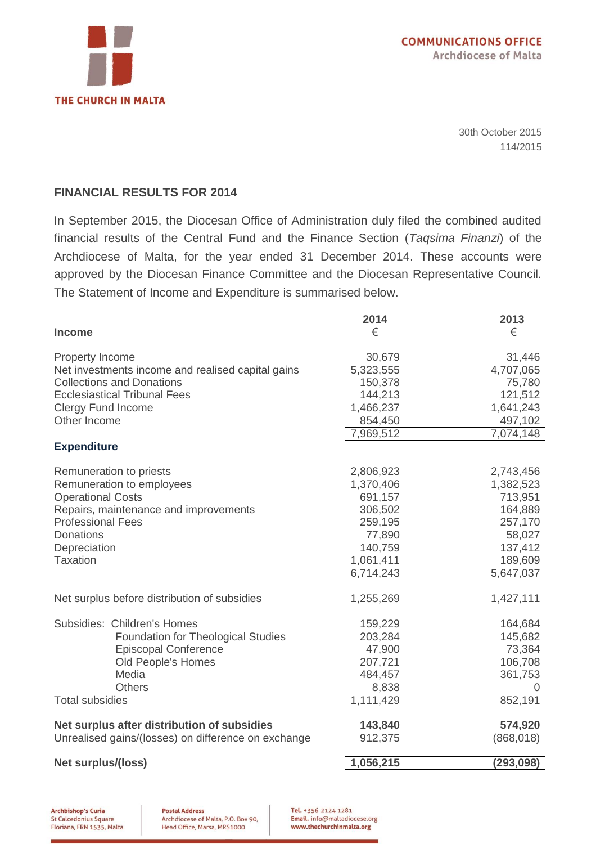

30th October 2015 114/2015

#### **FINANCIAL RESULTS FOR 2014**

In September 2015, the Diocesan Office of Administration duly filed the combined audited financial results of the Central Fund and the Finance Section (*Taqsima Finanzi*) of the Archdiocese of Malta, for the year ended 31 December 2014. These accounts were approved by the Diocesan Finance Committee and the Diocesan Representative Council. The Statement of Income and Expenditure is summarised below.

|                                                     | 2014      | 2013       |
|-----------------------------------------------------|-----------|------------|
| <b>Income</b>                                       | €         | €          |
| Property Income                                     | 30,679    | 31,446     |
| Net investments income and realised capital gains   | 5,323,555 | 4,707,065  |
| <b>Collections and Donations</b>                    | 150,378   | 75,780     |
| <b>Ecclesiastical Tribunal Fees</b>                 | 144,213   | 121,512    |
| <b>Clergy Fund Income</b>                           | 1,466,237 | 1,641,243  |
| Other Income                                        | 854,450   | 497,102    |
|                                                     | 7,969,512 | 7,074,148  |
| <b>Expenditure</b>                                  |           |            |
| Remuneration to priests                             | 2,806,923 | 2,743,456  |
| Remuneration to employees                           | 1,370,406 | 1,382,523  |
| <b>Operational Costs</b>                            | 691,157   | 713,951    |
| Repairs, maintenance and improvements               | 306,502   | 164,889    |
| <b>Professional Fees</b>                            | 259,195   | 257,170    |
| <b>Donations</b>                                    | 77,890    | 58,027     |
| Depreciation                                        | 140,759   | 137,412    |
| <b>Taxation</b>                                     | 1,061,411 | 189,609    |
|                                                     | 6,714,243 | 5,647,037  |
| Net surplus before distribution of subsidies        | 1,255,269 | 1,427,111  |
| Subsidies: Children's Homes                         | 159,229   | 164,684    |
| Foundation for Theological Studies                  | 203,284   | 145,682    |
| <b>Episcopal Conference</b>                         | 47,900    | 73,364     |
| Old People's Homes                                  | 207,721   | 106,708    |
| Media                                               | 484,457   | 361,753    |
| Others                                              | 8,838     | 0          |
| <b>Total subsidies</b>                              | 1,111,429 | 852,191    |
| Net surplus after distribution of subsidies         | 143,840   | 574,920    |
| Unrealised gains/(losses) on difference on exchange | 912,375   | (868, 018) |
| <b>Net surplus/(loss)</b>                           | 1,056,215 | (293,098)  |

**Archbishop's Curia** St Calcedonius Square Floriana, FRN 1535, Malta

Tel. +356 2124 1281 Email. info@maltadiocese.org www.thechurchinmalta.org